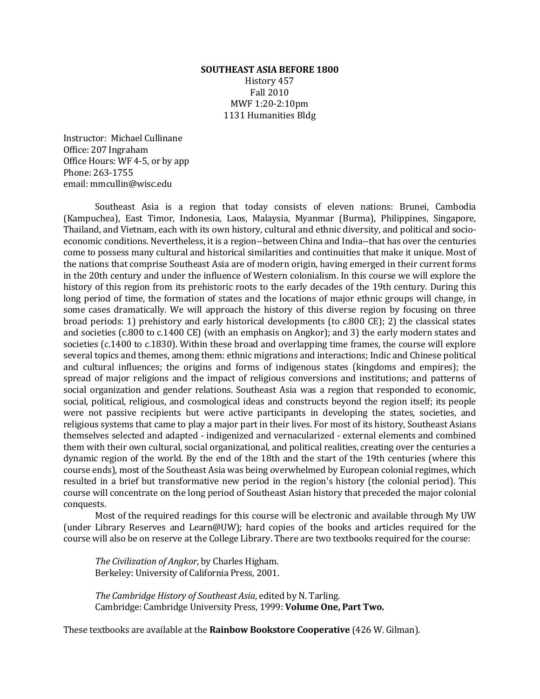#### **SOUTHEAST ASIA BEFORE 1800**

History 457 Fall 2010 MWF 1:20‐2:10pm 1131 Humanities Bldg

Instructor: Michael Cullinane Office: 207 Ingraham Office Hours: WF 4-5, or by app Phone: 263‐1755 email: mmcullin@wisc.edu

Southeast Asia is a region that today consists of eleven nations: Brunei, Cambodia (Kampuchea), East Timor, Indonesia, Laos, Malaysia, Myanmar (Burma), Philippines, Singapore, Thailand, and Vietnam, each with its own history, cultural and ethnic diversity, and political and socioeconomic conditions. Nevertheless, it is a region--between China and India--that has over the centuries come to possess many cultural and historical similarities and continuities that make it unique. Most of the nations that comprise Southeast Asia are of modern origin, having emerged in their current forms in the 20th century and under the influence of Western colonialism. In this course we will explore the history of this region from its prehistoric roots to the early decades of the 19th century. During this long period of time, the formation of states and the locations of major ethnic groups will change, in some cases dramatically. We will approach the history of this diverse region by focusing on three broad periods: 1) prehistory and early historical developments (to  $c.800 \text{ CE}$ ); 2) the classical states and societies  $(c.800 \text{ to } c.1400 \text{ CE})$  (with an emphasis on Angkor); and 3) the early modern states and societies  $(c.1400 \text{ to } c.1830)$ . Within these broad and overlapping time frames, the course will explore several topics and themes, among them: ethnic migrations and interactions; Indic and Chinese political and cultural influences; the origins and forms of indigenous states (kingdoms and empires); the spread of major religions and the impact of religious conversions and institutions; and patterns of social organization and gender relations. Southeast Asia was a region that responded to economic, social, political, religious, and cosmological ideas and constructs beyond the region itself; its people were not passive recipients but were active participants in developing the states, societies, and religious systems that came to play a major part in their lives. For most of its history, Southeast Asians themselves selected and adapted - indigenized and vernacularized - external elements and combined them with their own cultural, social organizational, and political realities, creating over the centuries a dynamic region of the world. By the end of the 18th and the start of the 19th centuries (where this course ends), most of the Southeast Asia was being overwhelmed by European colonial regimes, which resulted in a brief but transformative new period in the region's history (the colonial period). This course will concentrate on the long period of Southeast Asian history that preceded the major colonial conquests. 

Most of the required readings for this course will be electronic and available through My UW (under Library Reserves and Learn@UW); hard copies of the books and articles required for the course will also be on reserve at the College Library. There are two textbooks required for the course:

*The Civilization of Angkor*, by Charles Higham. Berkeley: University of California Press, 2001.

*The Cambridge History of Southeast Asia*, edited by N. Tarling. Cambridge: Cambridge University Press, 1999: **Volume One, Part Two.**

These textbooks are available at the **Rainbow Bookstore Cooperative** (426 W. Gilman).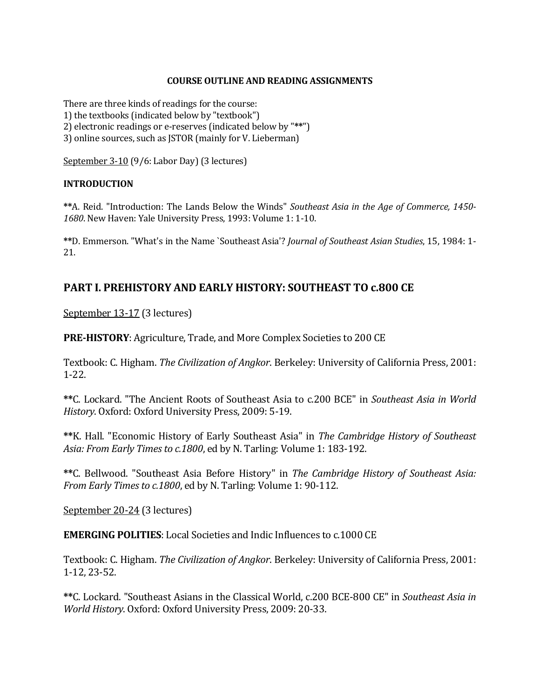### **COURSE OUTLINE AND READING ASSIGNMENTS**

There are three kinds of readings for the course: 1) the textbooks (indicated below by "textbook") 2) electronic readings or e-reserves (indicated below by "\*\*") 3) online sources, such as JSTOR (mainly for V. Lieberman)

September 3-10 (9/6: Labor Day) (3 lectures)

### **INTRODUCTION**

**\*\***A. Reid. "Introduction: The Lands Below the Winds" *Southeast Asia in the Age of Commerce, 1450‐* 1680. New Haven: Yale University Press, 1993: Volume 1: 1-10.

**\*\***D. Emmerson. "What's in the Name `Southeast Asia'? *Journal of Southeast Asian Studies*, 15, 1984: 1-21. 

# **PART I. PREHISTORY AND EARLY HISTORY: SOUTHEAST TO c.800 CE**

September 13-17 (3 lectures)

**PRE-HISTORY:** Agriculture, Trade, and More Complex Societies to 200 CE

Textbook: C. Higham. *The Civilization of Angkor*. Berkeley: University of California Press, 2001: 1‐22. 

**\*\***C. Lockard. "The Ancient Roots of Southeast Asia to c.200 BCE" in *Southeast Asia in World History*. Oxford: Oxford University Press, 2009: 5-19.

**\*\***K. Hall. "Economic History of Early Southeast Asia" in *The Cambridge History of Southeast Asia: From Early Times to c.1800, ed by N. Tarling: Volume 1: 183-192.* 

**\*\***C. Bellwood. "Southeast Asia Before History" in *The Cambridge History of Southeast Asia: From Early Times to c.1800*, ed by N. Tarling: Volume 1: 90-112.

September 20-24 (3 lectures)

**EMERGING POLITIES:** Local Societies and Indic Influences to c.1000 CE

Textbook: C. Higham. *The Civilization of Angkor*. Berkeley: University of California Press, 2001: 1‐12, 23‐52. 

**\*\***C. Lockard. "Southeast Asians in the Classical World, c.200 BCE‐800 CE" in *Southeast Asia in World History*. Oxford: Oxford University Press, 2009: 20‐33.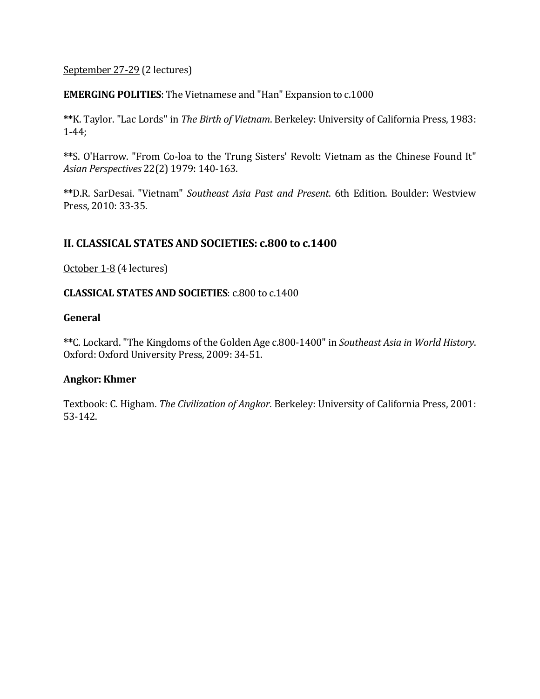## September 27-29 (2 lectures)

## **EMERGING POLITIES:** The Vietnamese and "Han" Expansion to c.1000

**\*\***K. Taylor. "Lac Lords" in *The Birth of Vietnam*. Berkeley: University of California Press, 1983: 1‐44; 

\*\*S. O'Harrow. "From Co-loa to the Trung Sisters' Revolt: Vietnam as the Chinese Found It" *Asian Perspectives* 22(2) 1979: 140‐163. 

**\*\***D.R. SarDesai. "Vietnam" *Southeast Asia Past and Present*. 6th Edition. Boulder: Westview Press, 2010: 33-35.

## **II. CLASSICAL STATES AND SOCIETIES: c.800 to c.1400**

October 1-8 (4 lectures)

### **CLASSICAL STATES AND SOCIETIES**: c.800 to c.1400

### **General**

**\*\***C. Lockard. "The Kingdoms of the Golden Age c.800‐1400" in *Southeast Asia in World History*. Oxford: Oxford University Press, 2009: 34-51.

### **Angkor: Khmer**

Textbook: C. Higham. *The Civilization of Angkor*. Berkeley: University of California Press, 2001: 53‐142.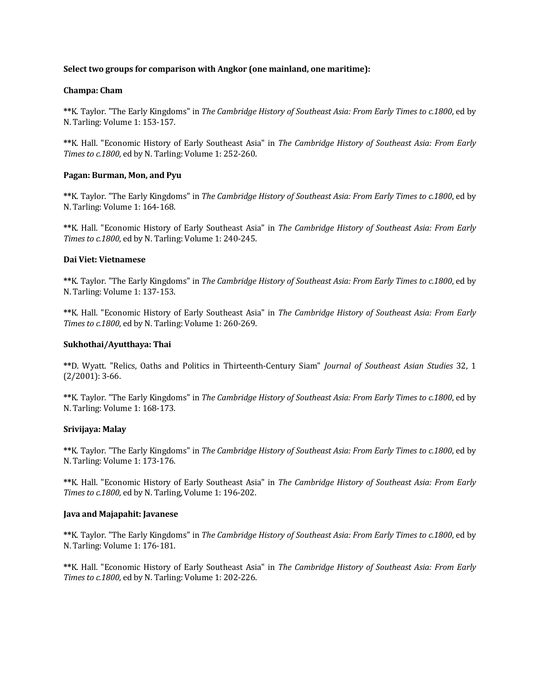#### **Select two groups for comparison with Angkor (one mainland, one maritime):**

#### **Champa: Cham**

**\*\***K. Taylor. "The Early Kingdoms" in *The Cambridge History of Southeast Asia: From Early Times to c.1800*, ed by N. Tarling: Volume 1: 153-157.

**\*\***K. Hall. "Economic History of Early Southeast Asia" in *The Cambridge History of Southeast Asia: From Early Times to c.1800*, ed by N. Tarling: Volume 1: 252-260.

### **Pagan: Burman, Mon, and Pyu**

**\*\***K. Taylor. "The Early Kingdoms" in *The Cambridge History of Southeast Asia: From Early Times to c.1800*, ed by N. Tarling: Volume 1: 164-168.

**\*\***K. Hall. "Economic History of Early Southeast Asia" in *The Cambridge History of Southeast Asia: From Early Times to c.1800*, ed by N. Tarling: Volume 1: 240-245.

#### **Dai Viet: Vietnamese**

**\*\***K. Taylor. "The Early Kingdoms" in *The Cambridge History of Southeast Asia: From Early Times to c.1800*, ed by N. Tarling: Volume 1: 137-153.

**\*\***K. Hall. "Economic History of Early Southeast Asia" in *The Cambridge History of Southeast Asia: From Early Times to c.1800*, ed by N. Tarling: Volume 1: 260-269.

#### **Sukhothai/Ayutthaya: Thai**

**\*\***D. Wyatt. "Relics, Oaths and Politics in Thirteenth‐Century Siam" *Journal of Southeast Asian Studies* 32, 1  $(2/2001): 3-66.$ 

**\*\***K. Taylor. "The Early Kingdoms" in *The Cambridge History of Southeast Asia: From Early Times to c.1800*, ed by N. Tarling: Volume 1: 168-173.

#### **Srivijaya: Malay**

**\*\***K. Taylor. "The Early Kingdoms" in *The Cambridge History of Southeast Asia: From Early Times to c.1800*, ed by N. Tarling: Volume 1: 173-176.

**\*\***K. Hall. "Economic History of Early Southeast Asia" in *The Cambridge History of Southeast Asia: From Early Times to c.1800*, ed by N. Tarling, Volume 1: 196-202.

#### **Java and Majapahit: Javanese**

**\*\***K. Taylor. "The Early Kingdoms" in *The Cambridge History of Southeast Asia: From Early Times to c.1800*, ed by N. Tarling: Volume 1: 176-181.

**\*\***K. Hall. "Economic History of Early Southeast Asia" in *The Cambridge History of Southeast Asia: From Early Times to c.1800*, ed by N. Tarling: Volume 1: 202-226.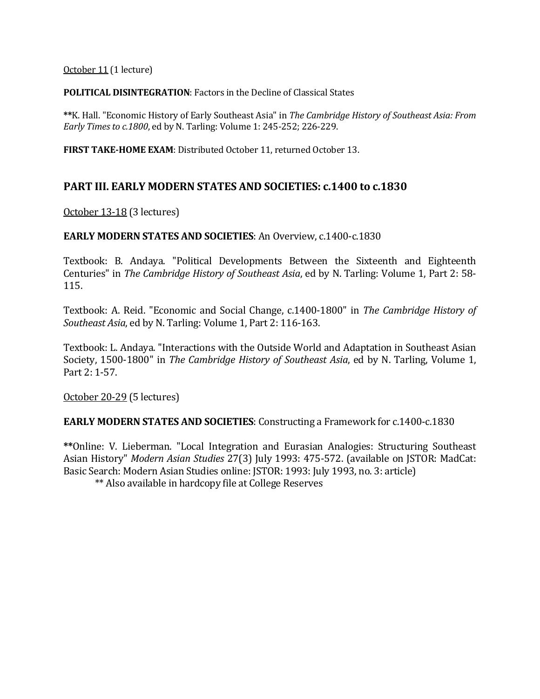October 11 (1 lecture)

**POLITICAL DISINTEGRATION:** Factors in the Decline of Classical States

**\*\***K. Hall. "Economic History of Early Southeast Asia" in *The Cambridge History of Southeast Asia: From Early Times to c.1800, ed by N. Tarling: Volume 1: 245-252; 226-229.* 

**FIRST TAKE-HOME EXAM:** Distributed October 11, returned October 13.

## **PART III. EARLY MODERN STATES AND SOCIETIES: c.1400 to c.1830**

October 13-18 (3 lectures)

### **EARLY MODERN STATES AND SOCIETIES:** An Overview, c.1400-c.1830

Textbook: B. Andaya. "Political Developments Between the Sixteenth and Eighteenth Centuries" in *The Cambridge History of Southeast Asia*, ed by N. Tarling: Volume 1, Part 2: 58-115. 

Textbook: A. Reid. "Economic and Social Change, c.1400‐1800" in *The Cambridge History of Southeast Asia*, ed by N. Tarling: Volume 1, Part 2: 116-163.

Textbook: L. Andaya. "Interactions with the Outside World and Adaptation in Southeast Asian Society, 1500-1800" in *The Cambridge History of Southeast Asia*, ed by N. Tarling, Volume 1, Part 2: 1-57.

October 20-29 (5 lectures)

**EARLY MODERN STATES AND SOCIETIES:** Constructing a Framework for c.1400-c.1830

\*\*Online: V. Lieberman. "Local Integration and Eurasian Analogies: Structuring Southeast Asian History" *Modern Asian Studies* 27(3) July 1993: 475-572. (available on JSTOR: MadCat: Basic Search: Modern Asian Studies online: JSTOR: 1993: July 1993, no. 3: article)

\*\* Also available in hardcopy file at College Reserves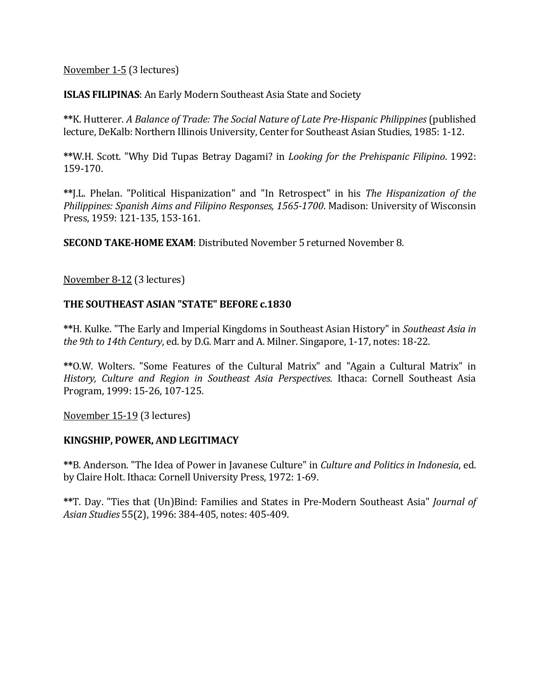## November 1-5 (3 lectures)

**ISLAS FILIPINAS:** An Early Modern Southeast Asia State and Society

**\*\***K. Hutterer. *A Balance of Trade: The Social Nature of Late Pre‐Hispanic Philippines* (published lecture, DeKalb: Northern Illinois University, Center for Southeast Asian Studies, 1985: 1-12.

**\*\***W.H. Scott. "Why Did Tupas Betray Dagami? in *Looking for the Prehispanic Filipino*. 1992: 159‐170. 

**\*\***J.L. Phelan. "Political Hispanization" and "In Retrospect" in his *The Hispanization of the Philippines: Spanish Aims and Filipino Responses, 1565‐1700*. Madison: University of Wisconsin Press, 1959: 121-135, 153-161.

**SECOND TAKE-HOME EXAM:** Distributed November 5 returned November 8.

November 8-12 (3 lectures)

## **THE SOUTHEAST ASIAN "STATE" BEFORE c.1830**

**\*\***H. Kulke. "The Early and Imperial Kingdoms in Southeast Asian History" in *Southeast Asia in the 9th to 14th Century*, ed. by D.G. Marr and A. Milner. Singapore, 1‐17, notes: 18‐22. 

\*\*O.W. Wolters. "Some Features of the Cultural Matrix" and "Again a Cultural Matrix" in *History, Culture and Region in Southeast Asia Perspectives*. Ithaca: Cornell Southeast Asia Program, 1999: 15-26, 107-125.

November 15-19 (3 lectures)

### **KINGSHIP, POWER, AND LEGITIMACY**

\*\*B. Anderson. "The Idea of Power in Javanese Culture" in *Culture and Politics in Indonesia*, ed. by Claire Holt. Ithaca: Cornell University Press, 1972: 1-69.

**\*\***T. Day. "Ties that (Un)Bind: Families and States in Pre‐Modern Southeast Asia" *Journal of Asian Studies* 55(2), 1996: 384‐405, notes: 405‐409.